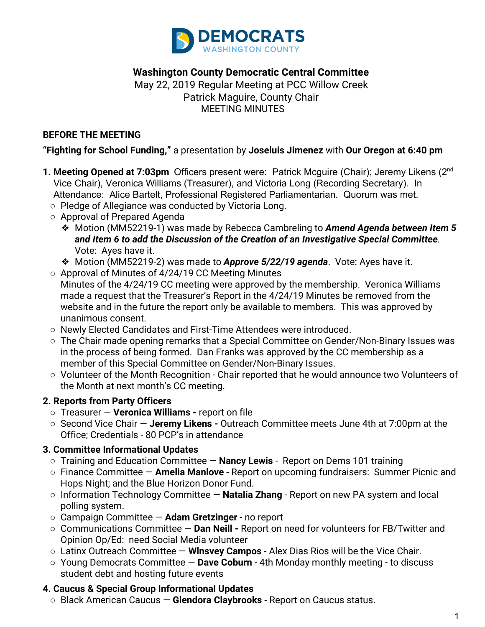

### **Washington County Democratic Central Committee**

May 22, 2019 Regular Meeting at PCC Willow Creek Patrick Maguire, County Chair  MEETING MINUTES

#### **BEFORE THE MEETING**

#### **"Fighting for School Funding,"** a presentation by **Joseluis Jimenez** with **Our Oregon at 6:40 pm**

- **1. Meeting Opened at 7:03pm** Officers present were: Patrick Mcguire (Chair); Jeremy Likens (2nd Vice Chair), Veronica Williams (Treasurer), and Victoria Long (Recording Secretary). In Attendance: Alice Bartelt, Professional Registered Parliamentarian. Quorum was met.
	- Pledge of Allegiance was conducted by Victoria Long.
	- Approval of Prepared Agenda
		- ❖ Motion (MM52219-1) was made by Rebecca Cambreling to *Amend Agenda between Item 5 and Item 6 to add the Discussion of the Creation of an Investigative Special Committee.* Vote: Ayes have it.
		- ❖ Motion (MM52219-2) was made to *Approve 5/22/19 agenda*. Vote: Ayes have it.
	- Approval of Minutes of 4/24/19 CC Meeting Minutes Minutes of the 4/24/19 CC meeting were approved by the membership. Veronica Williams made a request that the Treasurer's Report in the 4/24/19 Minutes be removed from the website and in the future the report only be available to members. This was approved by unanimous consent.
	- Newly Elected Candidates and First-Time Attendees were introduced.
	- The Chair made opening remarks that a Special Committee on Gender/Non-Binary Issues was in the process of being formed. Dan Franks was approved by the CC membership as a member of this Special Committee on Gender/Non-Binary Issues.
	- Volunteer of the Month Recognition Chair reported that he would announce two Volunteers of the Month at next month's CC meeting.

### **2. Reports from Party Officers**

- Treasurer — **Veronica Williams** report on file
- Second Vice Chair — **Jeremy Likens** Outreach Committee meets June 4th at 7:00pm at the Office; Credentials - 80 PCP's in attendance

### **3. Committee Informational Updates**

- Training and Education Committee — **Nancy Lewis**  Report on Dems 101 training
- Finance Committee — **Amelia Manlove**  Report on upcoming fundraisers: Summer Picnic and Hops Night; and the Blue Horizon Donor Fund.
- **○** Information Technology Committee — **Natalia Zhang**  Report on new PA system and local polling system.
- **○** Campaign Committee **Adam Gretzinger**  no report
- Communications Committee — **Dan Neill** Report on need for volunteers for FB/Twitter and Opinion Op/Ed: need Social Media volunteer
- Latinx Outreach Committee **Wlnsvey Campos**  Alex Dias Rios will be the Vice Chair.
- **○** Young Democrats Committee — **Dave Coburn**  4th Monday monthly meeting to discuss student debt and hosting future events

### **4. Caucus & Special Group Informational Updates**

○ Black American Caucus — **Glendora Claybrooks** - Report on Caucus status.